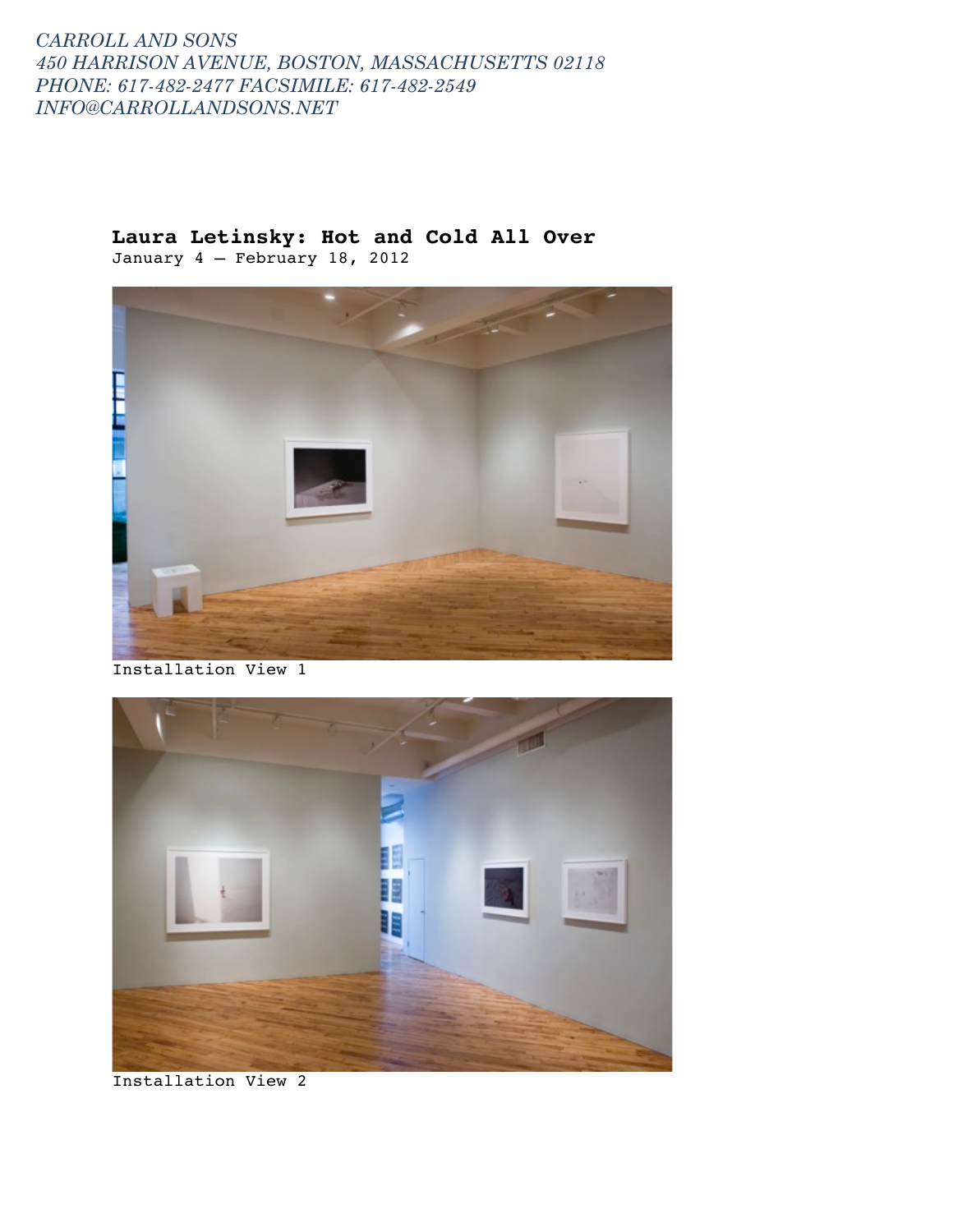### **Laura Letinsky: Hot and Cold All Over** January 4 – February 18, 2012



Installation View 1



Installation View 2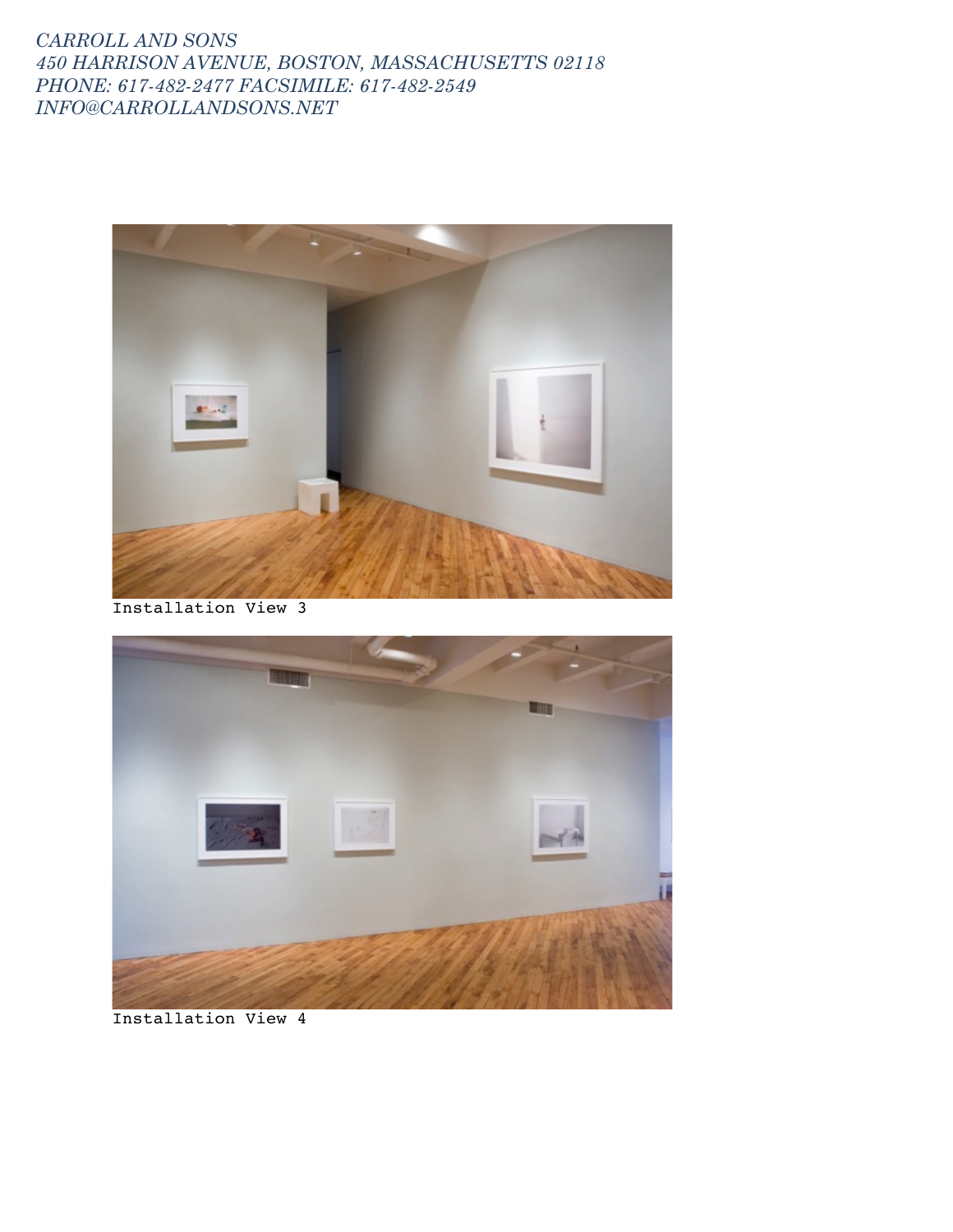

Installation View 3



Installation View 4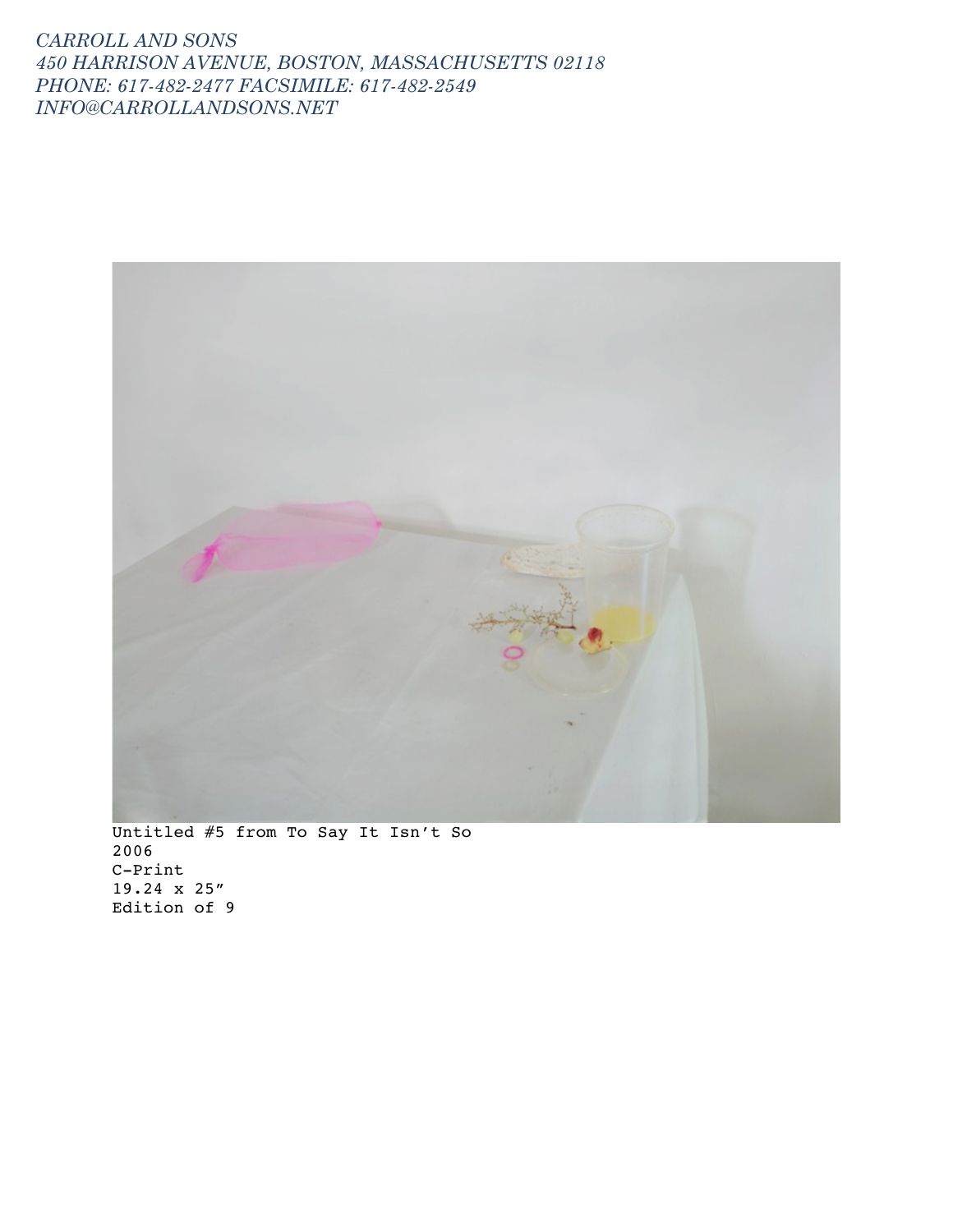

2006 C-Print 19.24 x 25" Edition of 9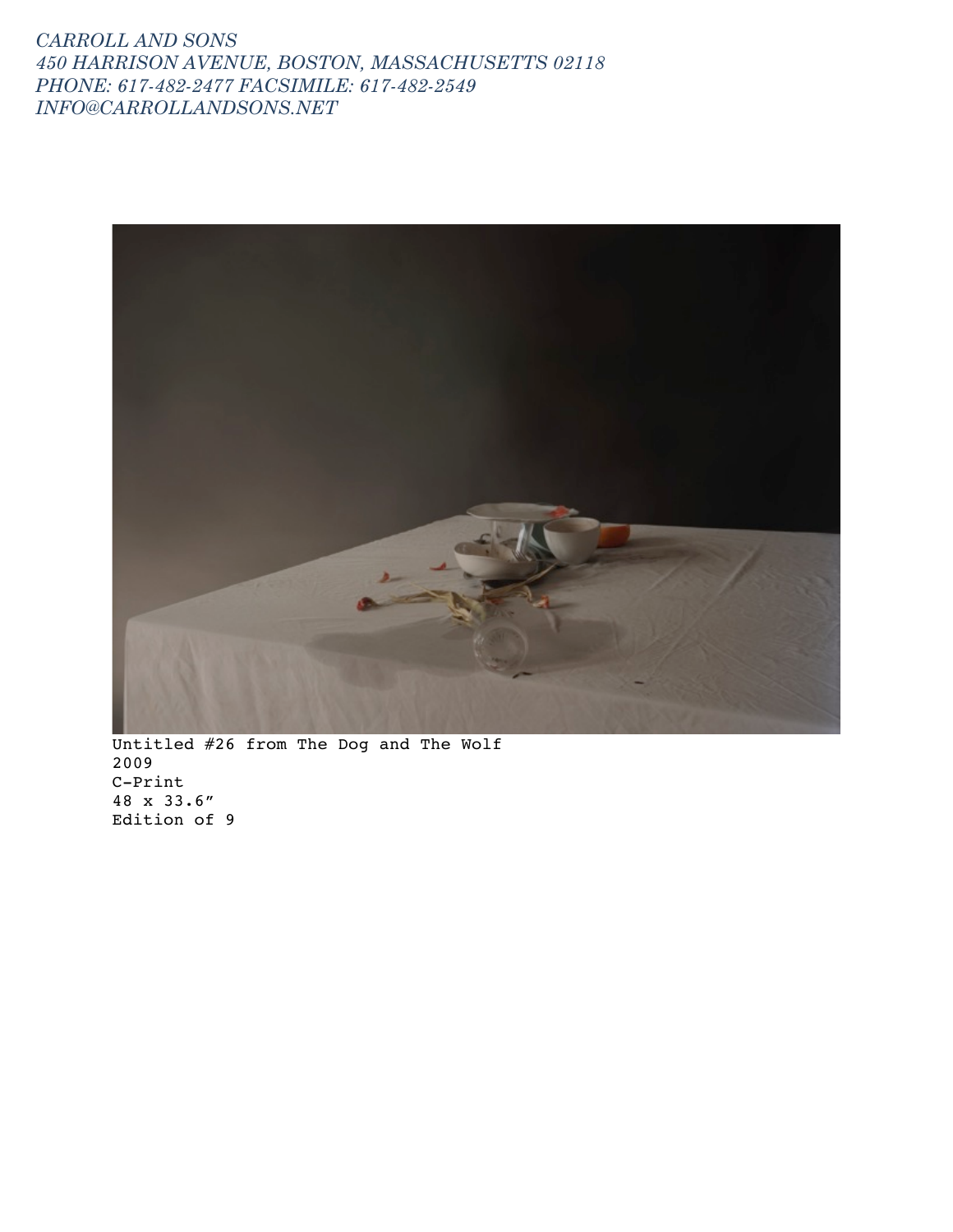

Untitled #26 from The Dog and The Wolf 2009 C-Print 48 x 33.6" Edition of 9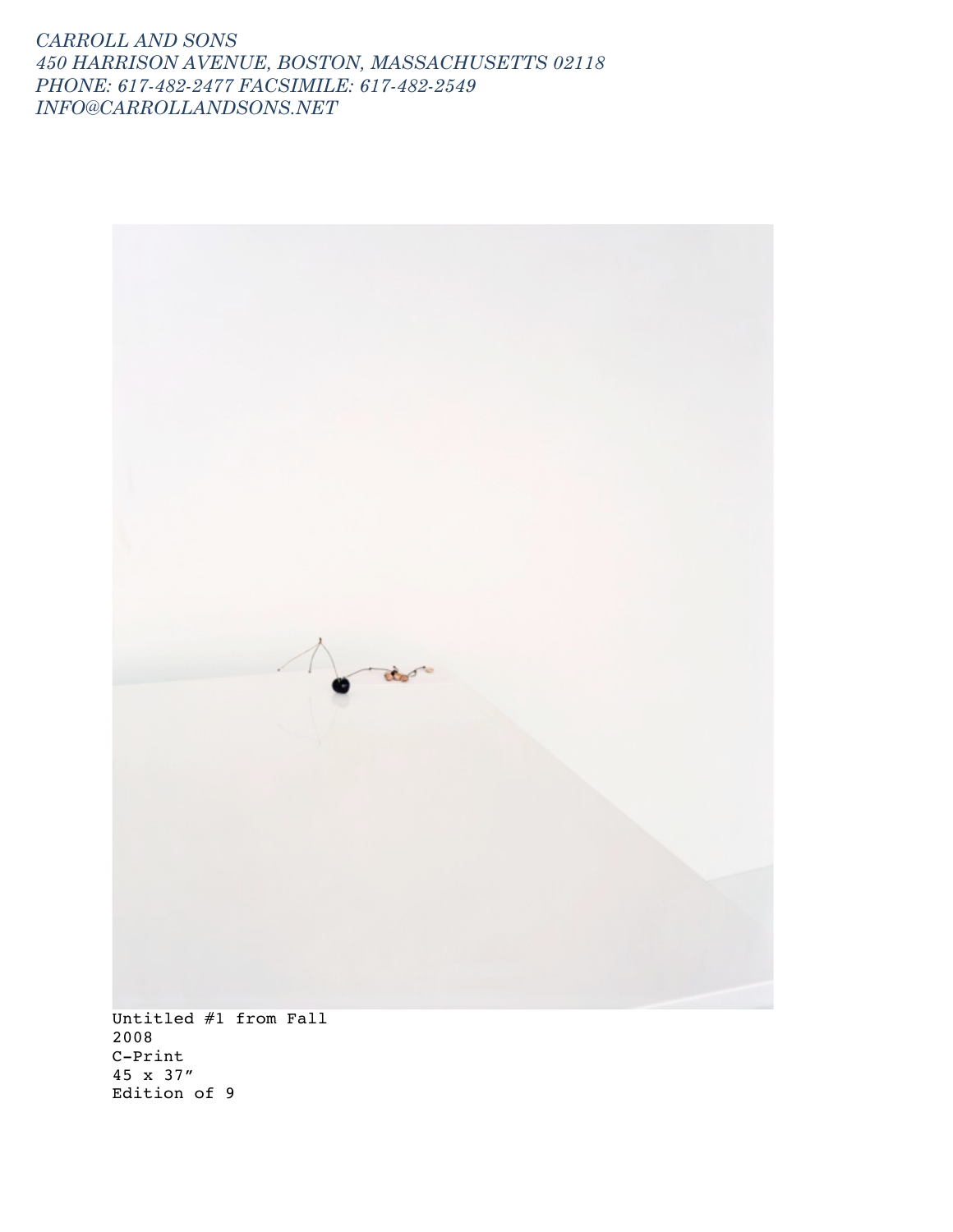

Untitled #1 from Fall 2008 C-Print 45 x 37" Edition of 9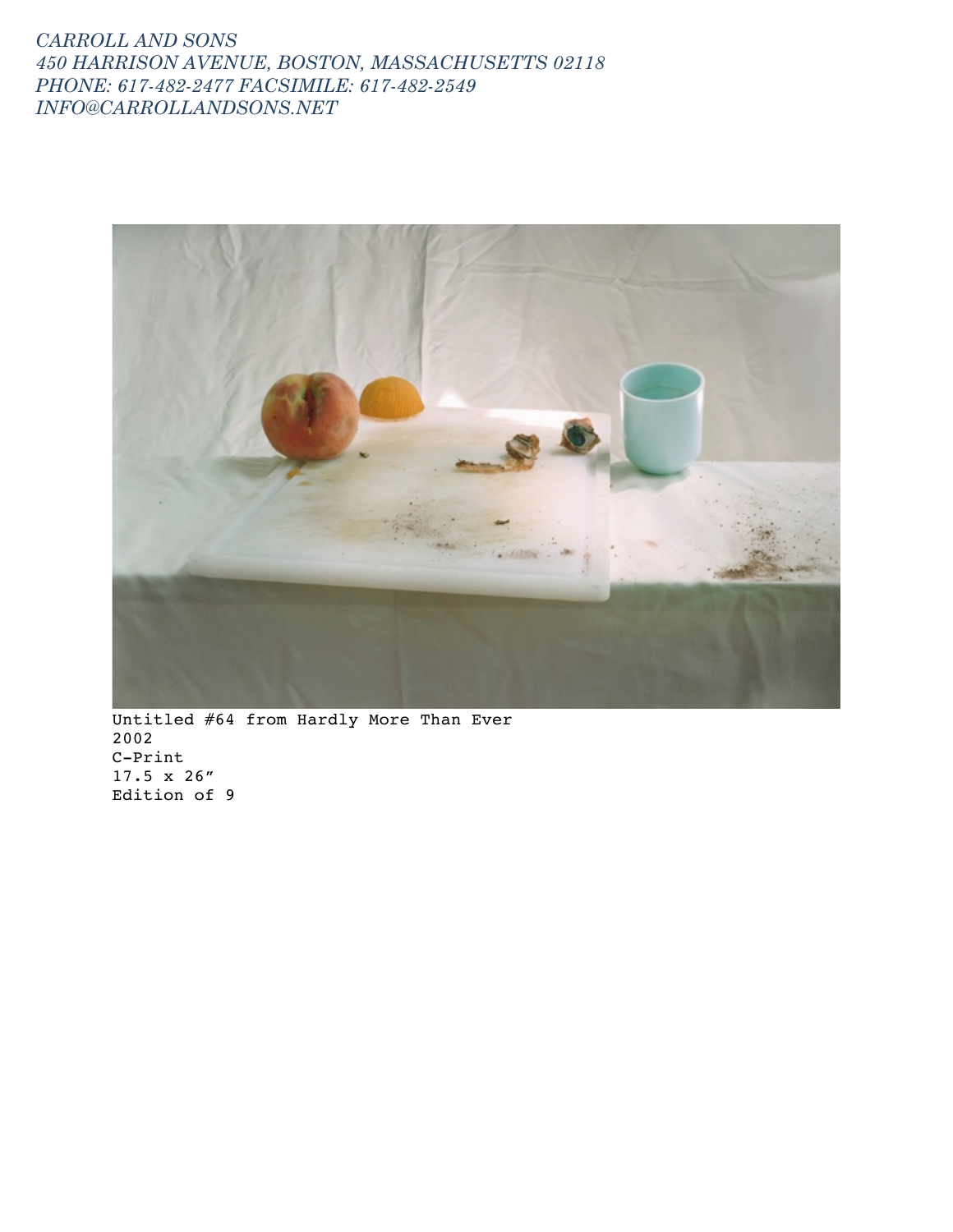

Untitled #64 from Hardly More Than Ever 2002 C-Print 17.5 x 26" Edition of 9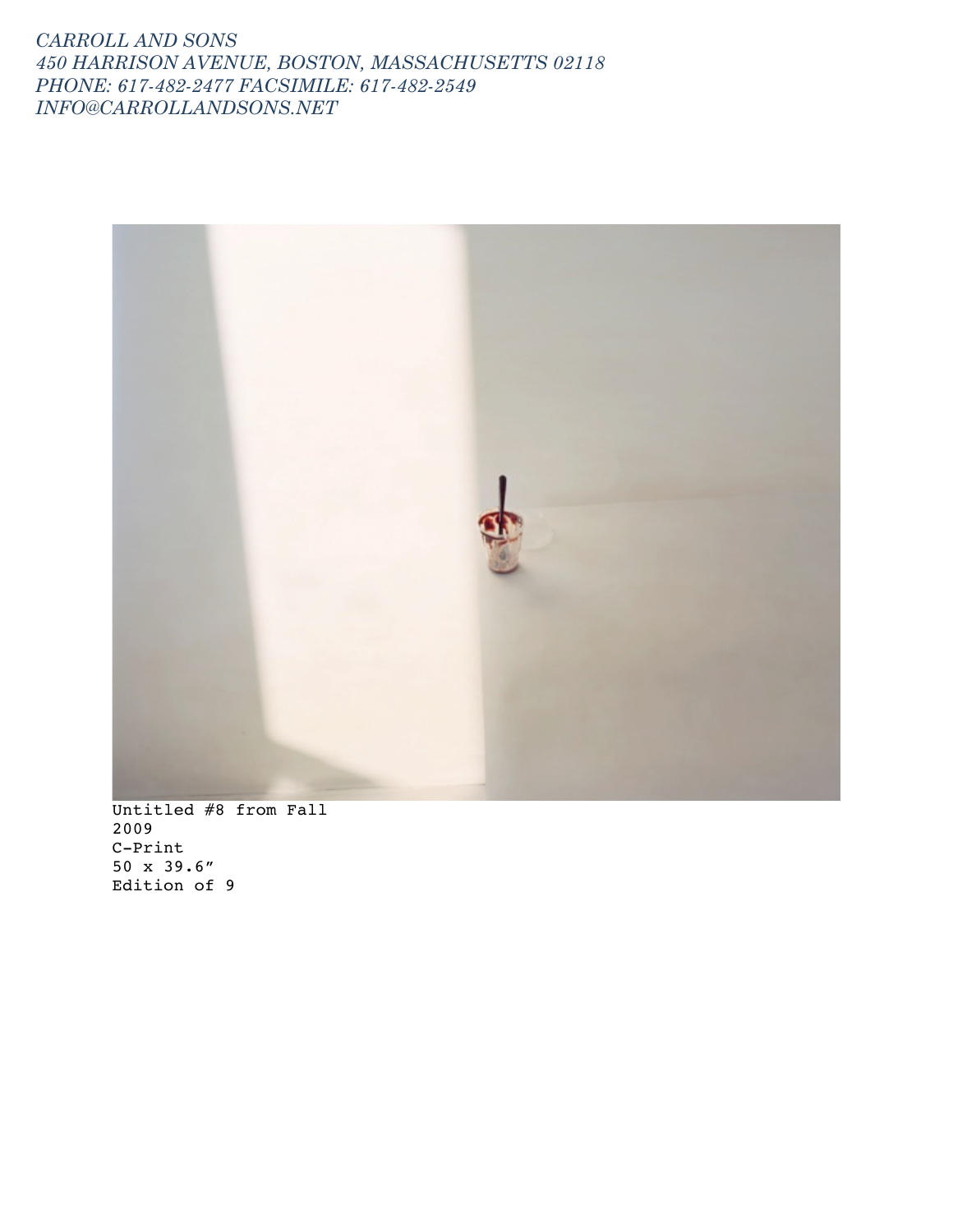

Untitled #8 from Fall 2009 C-Print 50 x 39.6" Edition of 9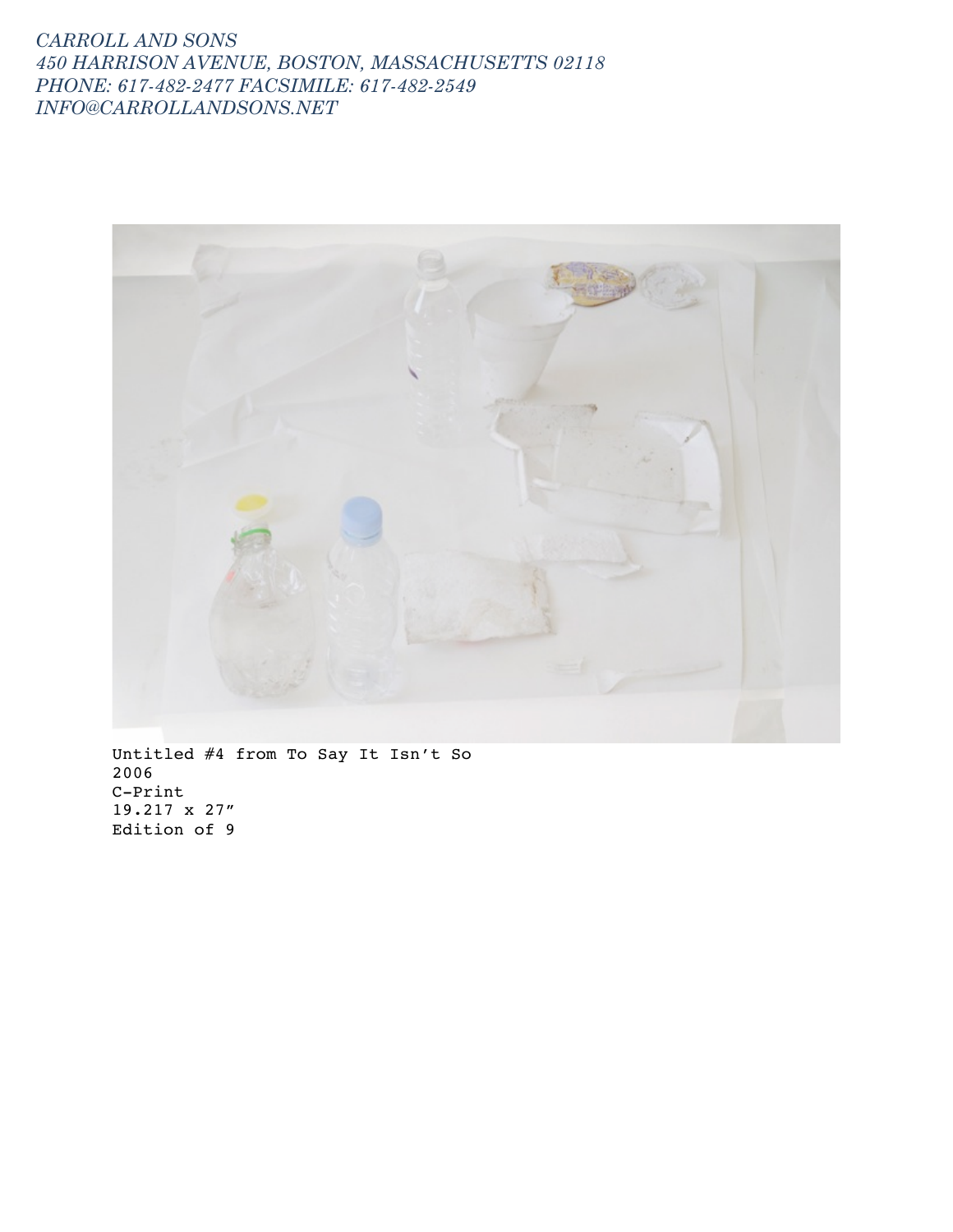

Untitled #4 from To Say It Isn't So 2006 C-Print 19.217 x 27" Edition of 9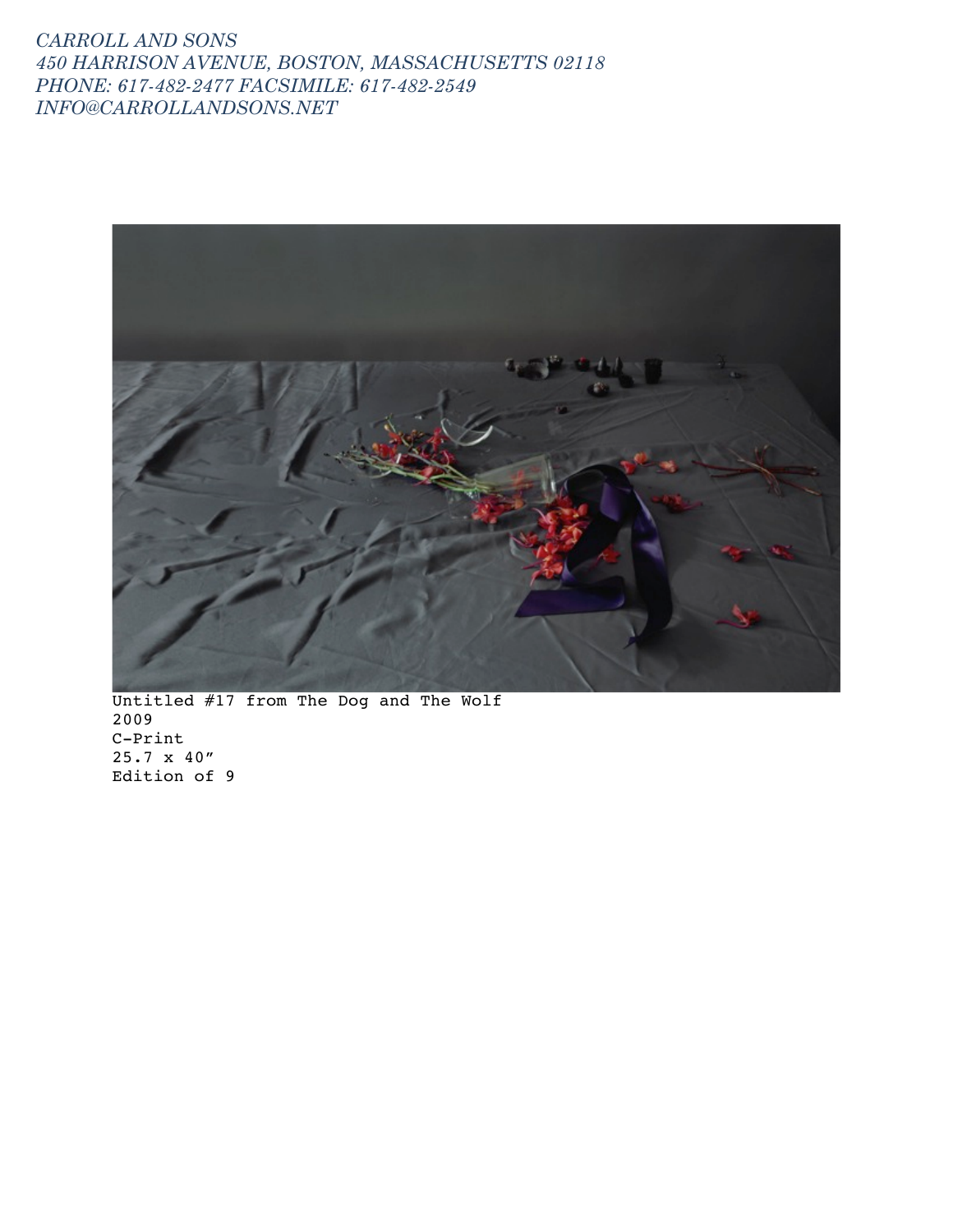

Untitled #17 from The Dog and The Wolf 2009 C-Print 25.7 x 40" Edition of 9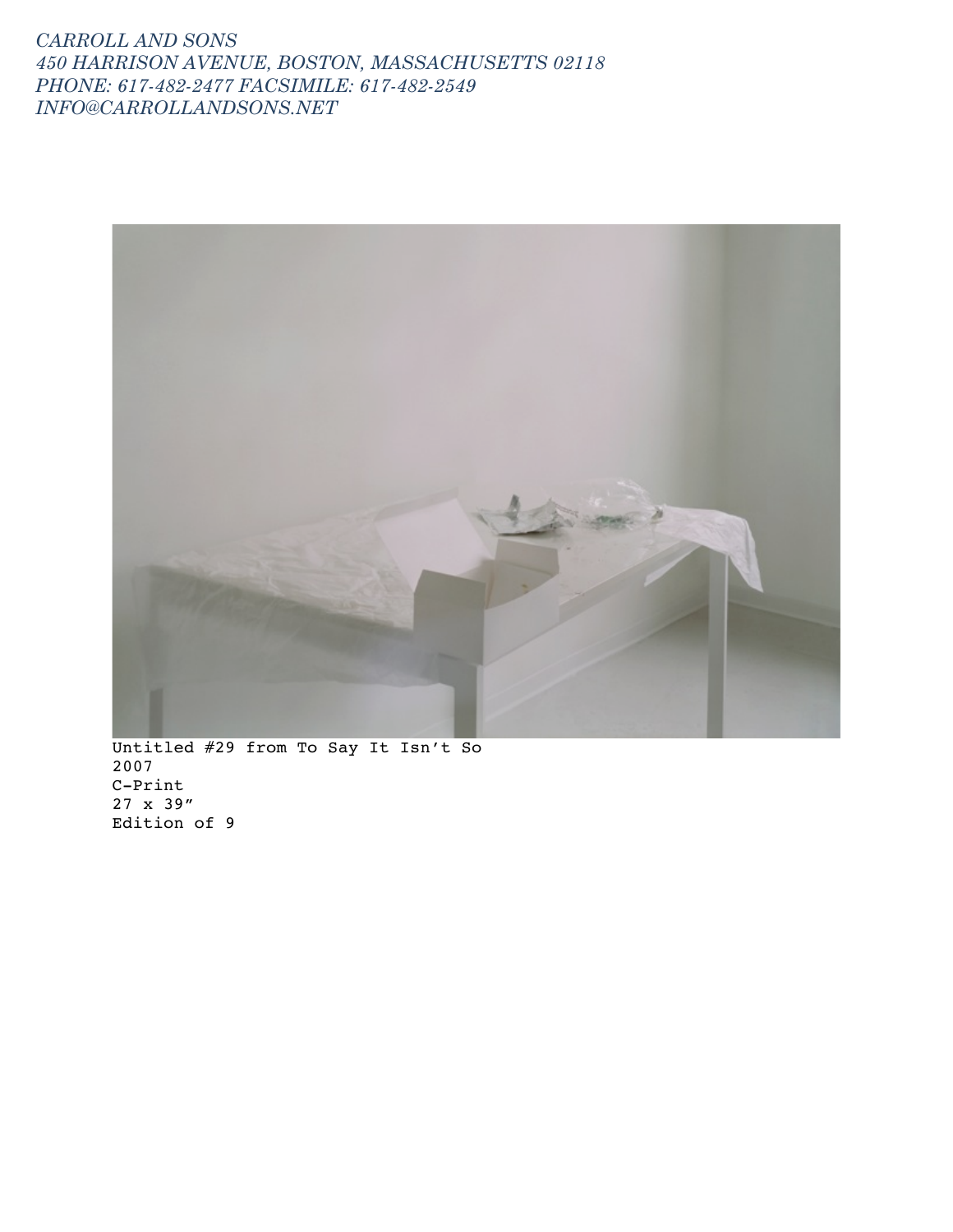

Untitled #29 from To Say It Isn't So 2007 C-Print 27 x 39" Edition of 9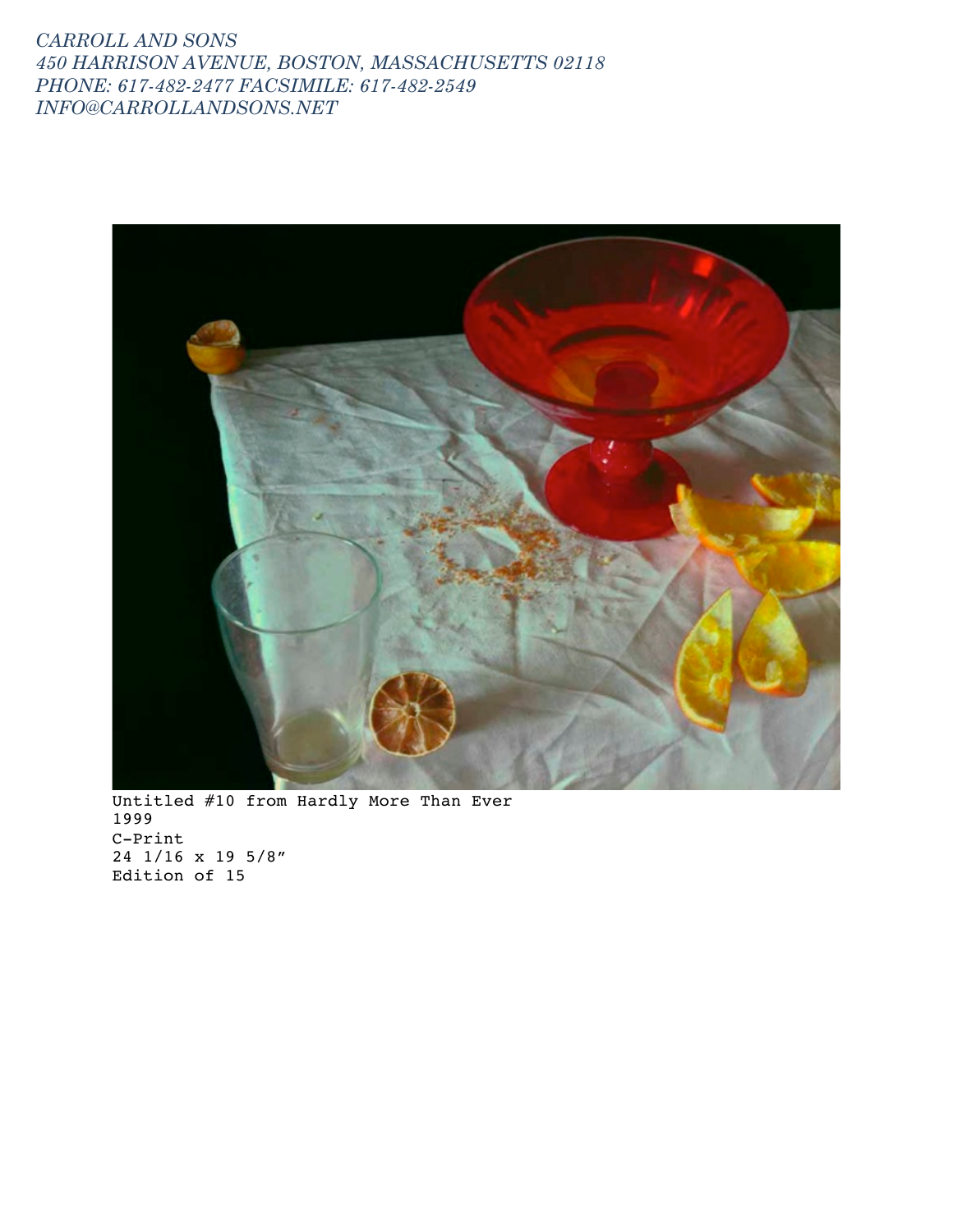

Untitled #10 from Hardly More Than Ever 1999 C-Print 24 1/16 x 19 5/8" Edition of 15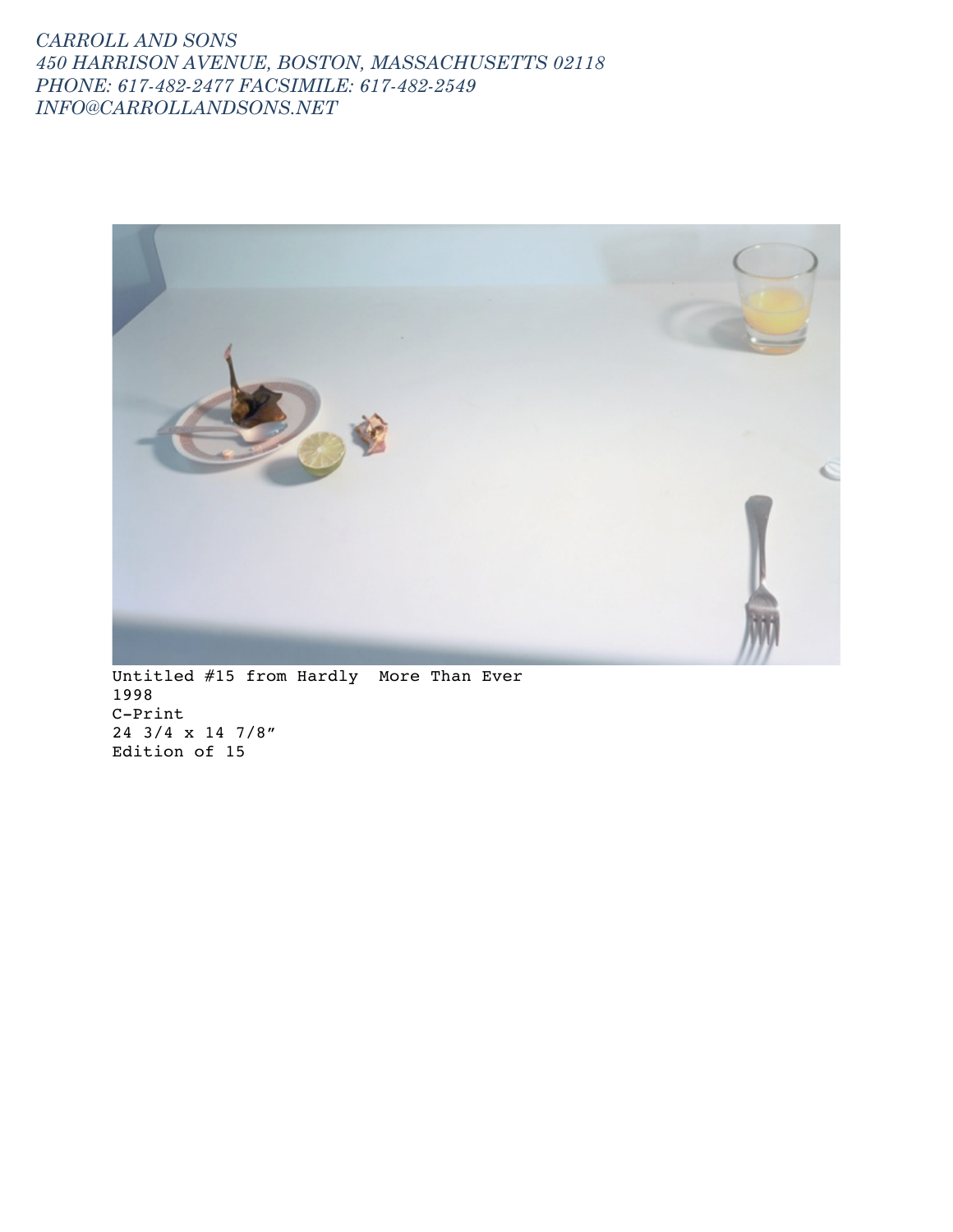

Untitled #15 from Hardly More Than Ever 1998 C-Print 24 3/4 x 14 7/8" Edition of 15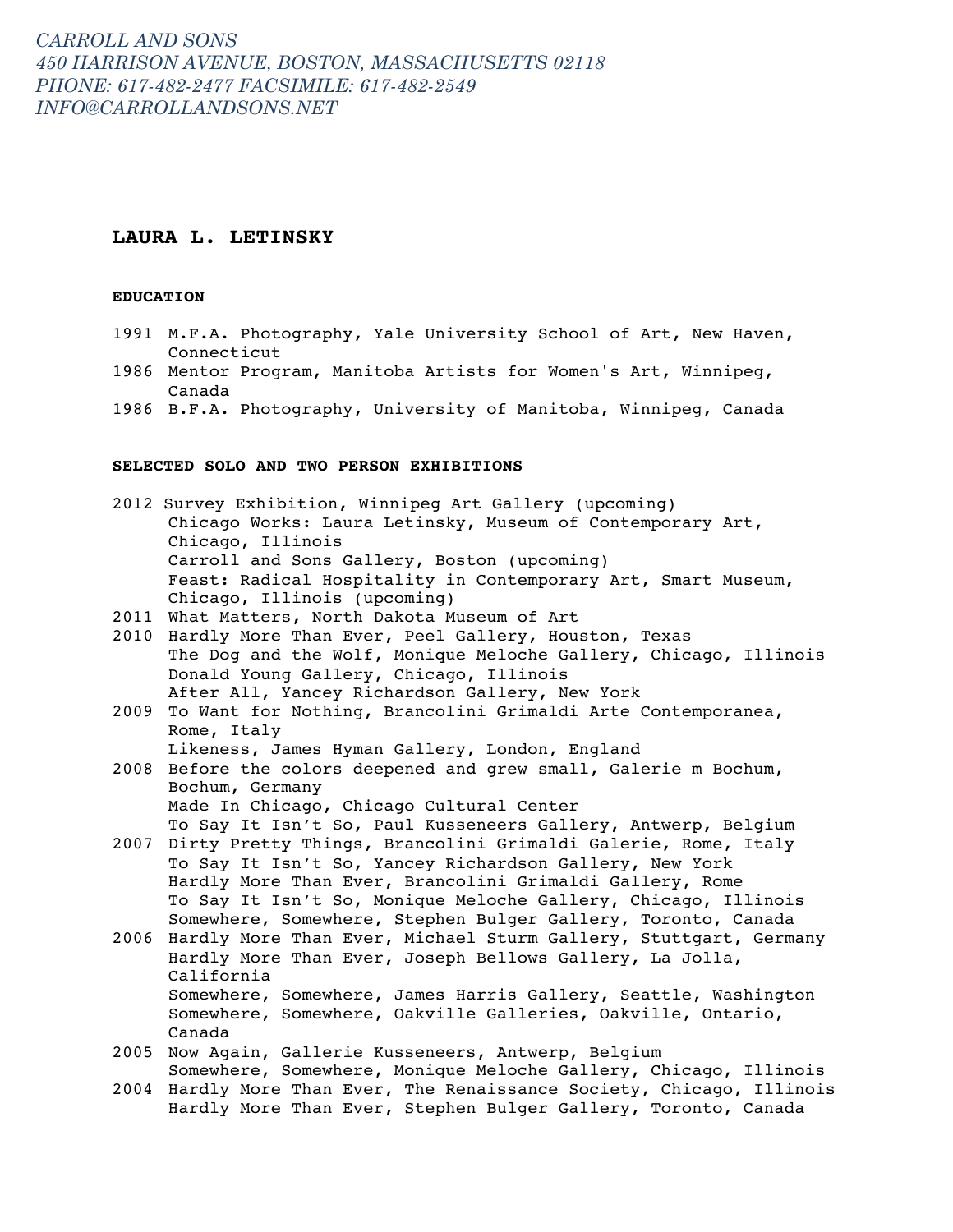### **LAURA L. LETINSKY**

### **EDUCATION**

- 1991 M.F.A. Photography, Yale University School of Art, New Haven, Connecticut
- 1986 Mentor Program, Manitoba Artists for Women's Art, Winnipeg, Canada
- 1986 B.F.A. Photography, University of Manitoba, Winnipeg, Canada

### **SELECTED SOLO AND TWO PERSON EXHIBITIONS**

|      | 2012 Survey Exhibition, Winnipeg Art Gallery (upcoming)           |
|------|-------------------------------------------------------------------|
|      | Chicago Works: Laura Letinsky, Museum of Contemporary Art,        |
|      | Chicago, Illinois                                                 |
|      | Carroll and Sons Gallery, Boston (upcoming)                       |
|      | Feast: Radical Hospitality in Contemporary Art, Smart Museum,     |
|      | Chicago, Illinois (upcoming)                                      |
| 2011 | What Matters, North Dakota Museum of Art                          |
| 2010 | Hardly More Than Ever, Peel Gallery, Houston, Texas               |
|      | The Dog and the Wolf, Monique Meloche Gallery, Chicago, Illinois  |
|      | Donald Young Gallery, Chicago, Illinois                           |
|      | After All, Yancey Richardson Gallery, New York                    |
| 2009 | To Want for Nothing, Brancolini Grimaldi Arte Contemporanea,      |
|      | Rome, Italy                                                       |
|      | Likeness, James Hyman Gallery, London, England                    |
| 2008 | Before the colors deepened and grew small, Galerie m Bochum,      |
|      | Bochum, Germany                                                   |
|      | Made In Chicago, Chicago Cultural Center                          |
|      | To Say It Isn't So, Paul Kusseneers Gallery, Antwerp, Belgium     |
| 2007 | Dirty Pretty Things, Brancolini Grimaldi Galerie, Rome, Italy     |
|      | To Say It Isn't So, Yancey Richardson Gallery, New York           |
|      | Hardly More Than Ever, Brancolini Grimaldi Gallery, Rome          |
|      | To Say It Isn't So, Monique Meloche Gallery, Chicago, Illinois    |
|      | Somewhere, Somewhere, Stephen Bulger Gallery, Toronto, Canada     |
| 2006 | Hardly More Than Ever, Michael Sturm Gallery, Stuttgart, Germany  |
|      | Hardly More Than Ever, Joseph Bellows Gallery, La Jolla,          |
|      | California                                                        |
|      | Somewhere, Somewhere, James Harris Gallery, Seattle, Washington   |
|      | Somewhere, Somewhere, Oakville Galleries, Oakville, Ontario,      |
|      | Canada                                                            |
| 2005 | Now Again, Gallerie Kusseneers, Antwerp, Belgium                  |
|      | Somewhere, Somewhere, Monique Meloche Gallery, Chicago, Illinois  |
| 2004 | Hardly More Than Ever, The Renaissance Society, Chicago, Illinois |
|      | Hardly More Than Ever, Stephen Bulger Gallery, Toronto, Canada    |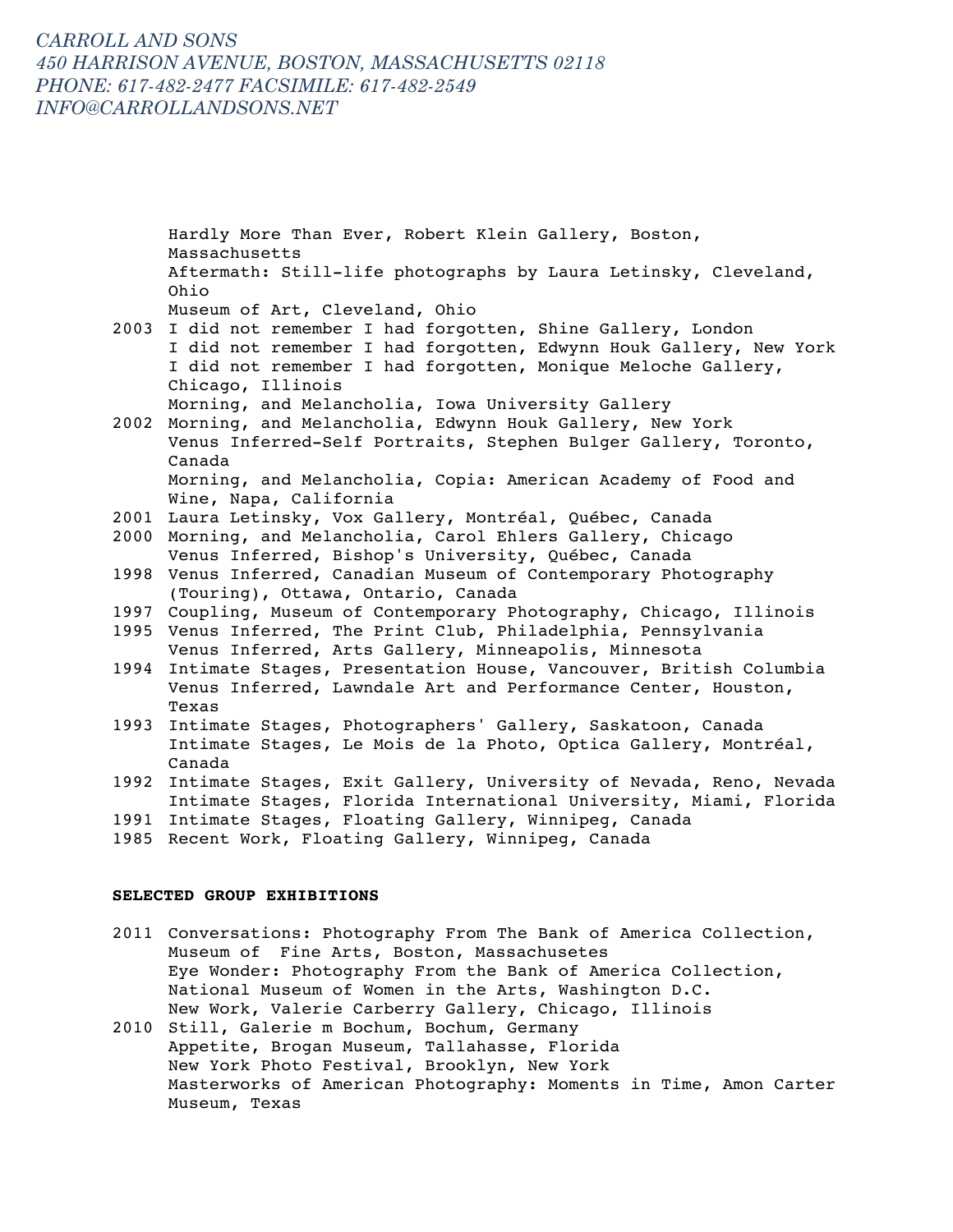Hardly More Than Ever, Robert Klein Gallery, Boston, Massachusetts Aftermath: Still-life photographs by Laura Letinsky, Cleveland, Ohio Museum of Art, Cleveland, Ohio 2003 I did not remember I had forgotten, Shine Gallery, London I did not remember I had forgotten, Edwynn Houk Gallery, New York I did not remember I had forgotten, Monique Meloche Gallery, Chicago, Illinois Morning, and Melancholia, Iowa University Gallery 2002 Morning, and Melancholia, Edwynn Houk Gallery, New York Venus Inferred-Self Portraits, Stephen Bulger Gallery, Toronto, Canada Morning, and Melancholia, Copia: American Academy of Food and Wine, Napa, California 2001 Laura Letinsky, Vox Gallery, Montréal, Québec, Canada 2000 Morning, and Melancholia, Carol Ehlers Gallery, Chicago Venus Inferred, Bishop's University, Québec, Canada 1998 Venus Inferred, Canadian Museum of Contemporary Photography (Touring), Ottawa, Ontario, Canada 1997 Coupling, Museum of Contemporary Photography, Chicago, Illinois 1995 Venus Inferred, The Print Club, Philadelphia, Pennsylvania Venus Inferred, Arts Gallery, Minneapolis, Minnesota 1994 Intimate Stages, Presentation House, Vancouver, British Columbia Venus Inferred, Lawndale Art and Performance Center, Houston, Texas 1993 Intimate Stages, Photographers' Gallery, Saskatoon, Canada Intimate Stages, Le Mois de la Photo, Optica Gallery, Montréal, Canada 1992 Intimate Stages, Exit Gallery, University of Nevada, Reno, Nevada Intimate Stages, Florida International University, Miami, Florida 1991 Intimate Stages, Floating Gallery, Winnipeg, Canada 1985 Recent Work, Floating Gallery, Winnipeg, Canada

### **SELECTED GROUP EXHIBITIONS**

- 2011 Conversations: Photography From The Bank of America Collection, Museum of Fine Arts, Boston, Massachusetes Eye Wonder: Photography From the Bank of America Collection, National Museum of Women in the Arts, Washington D.C. New Work, Valerie Carberry Gallery, Chicago, Illinois
- 2010 Still, Galerie m Bochum, Bochum, Germany Appetite, Brogan Museum, Tallahasse, Florida New York Photo Festival, Brooklyn, New York Masterworks of American Photography: Moments in Time, Amon Carter Museum, Texas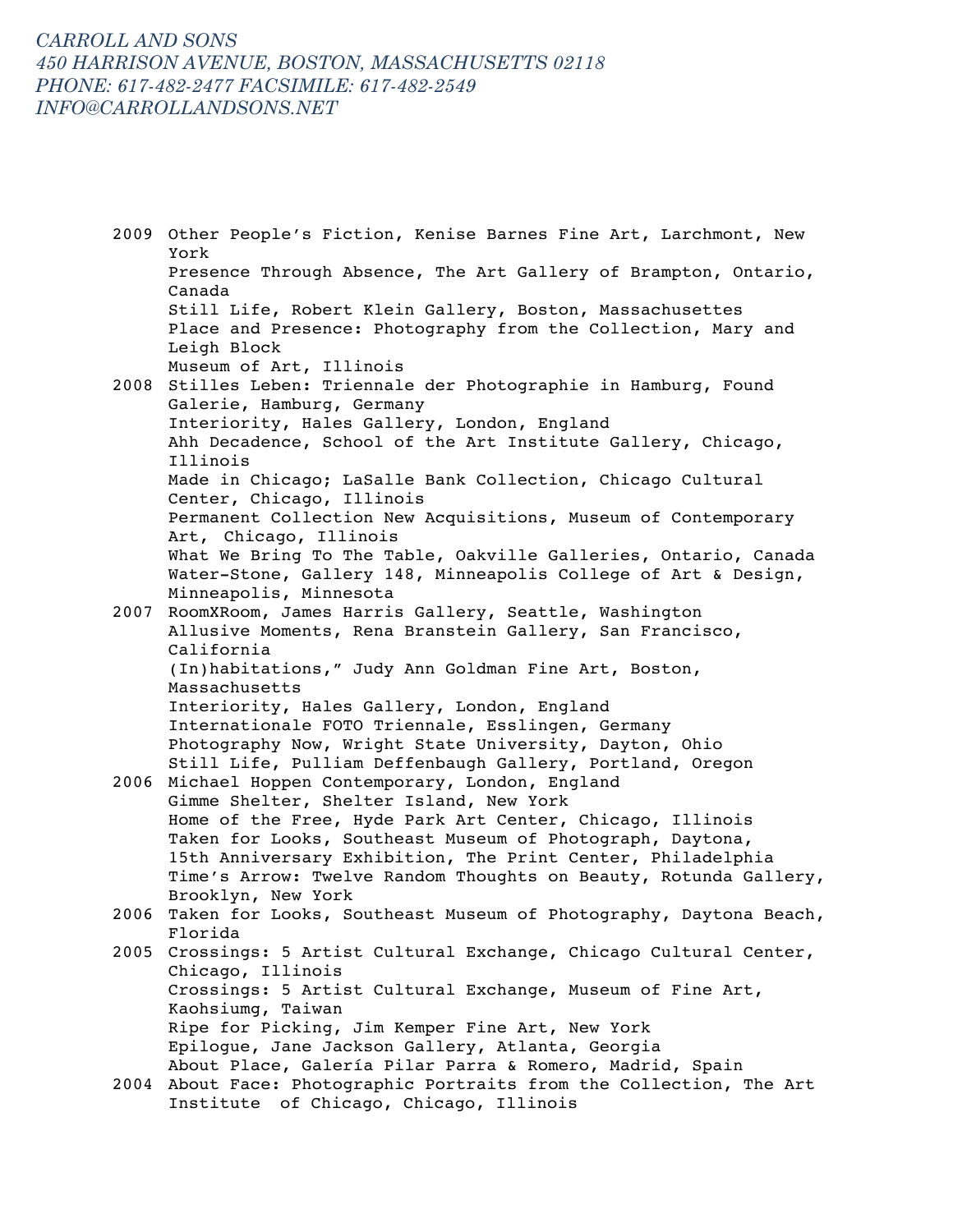2009 Other People's Fiction, Kenise Barnes Fine Art, Larchmont, New York Presence Through Absence, The Art Gallery of Brampton, Ontario, Canada Still Life, Robert Klein Gallery, Boston, Massachusettes Place and Presence: Photography from the Collection, Mary and Leigh Block Museum of Art, Illinois 2008 Stilles Leben: Triennale der Photographie in Hamburg, Found Galerie, Hamburg, Germany Interiority, Hales Gallery, London, England Ahh Decadence, School of the Art Institute Gallery, Chicago, Illinois Made in Chicago; LaSalle Bank Collection, Chicago Cultural Center, Chicago, Illinois Permanent Collection New Acquisitions, Museum of Contemporary Art, Chicago, Illinois What We Bring To The Table, Oakville Galleries, Ontario, Canada Water-Stone, Gallery 148, Minneapolis College of Art & Design, Minneapolis, Minnesota 2007 RoomXRoom, James Harris Gallery, Seattle, Washington Allusive Moments, Rena Branstein Gallery, San Francisco, California (In)habitations," Judy Ann Goldman Fine Art, Boston, Massachusetts Interiority, Hales Gallery, London, England Internationale FOTO Triennale, Esslingen, Germany Photography Now, Wright State University, Dayton, Ohio Still Life, Pulliam Deffenbaugh Gallery, Portland, Oregon 2006 Michael Hoppen Contemporary, London, England Gimme Shelter, Shelter Island, New York Home of the Free, Hyde Park Art Center, Chicago, Illinois Taken for Looks, Southeast Museum of Photograph, Daytona, 15th Anniversary Exhibition, The Print Center, Philadelphia Time's Arrow: Twelve Random Thoughts on Beauty, Rotunda Gallery, Brooklyn, New York 2006 Taken for Looks, Southeast Museum of Photography, Daytona Beach, Florida 2005 Crossings: 5 Artist Cultural Exchange, Chicago Cultural Center, Chicago, Illinois Crossings: 5 Artist Cultural Exchange, Museum of Fine Art, Kaohsiumg, Taiwan Ripe for Picking, Jim Kemper Fine Art, New York Epilogue, Jane Jackson Gallery, Atlanta, Georgia About Place, Galería Pilar Parra & Romero, Madrid, Spain 2004 About Face: Photographic Portraits from the Collection, The Art Institute of Chicago, Chicago, Illinois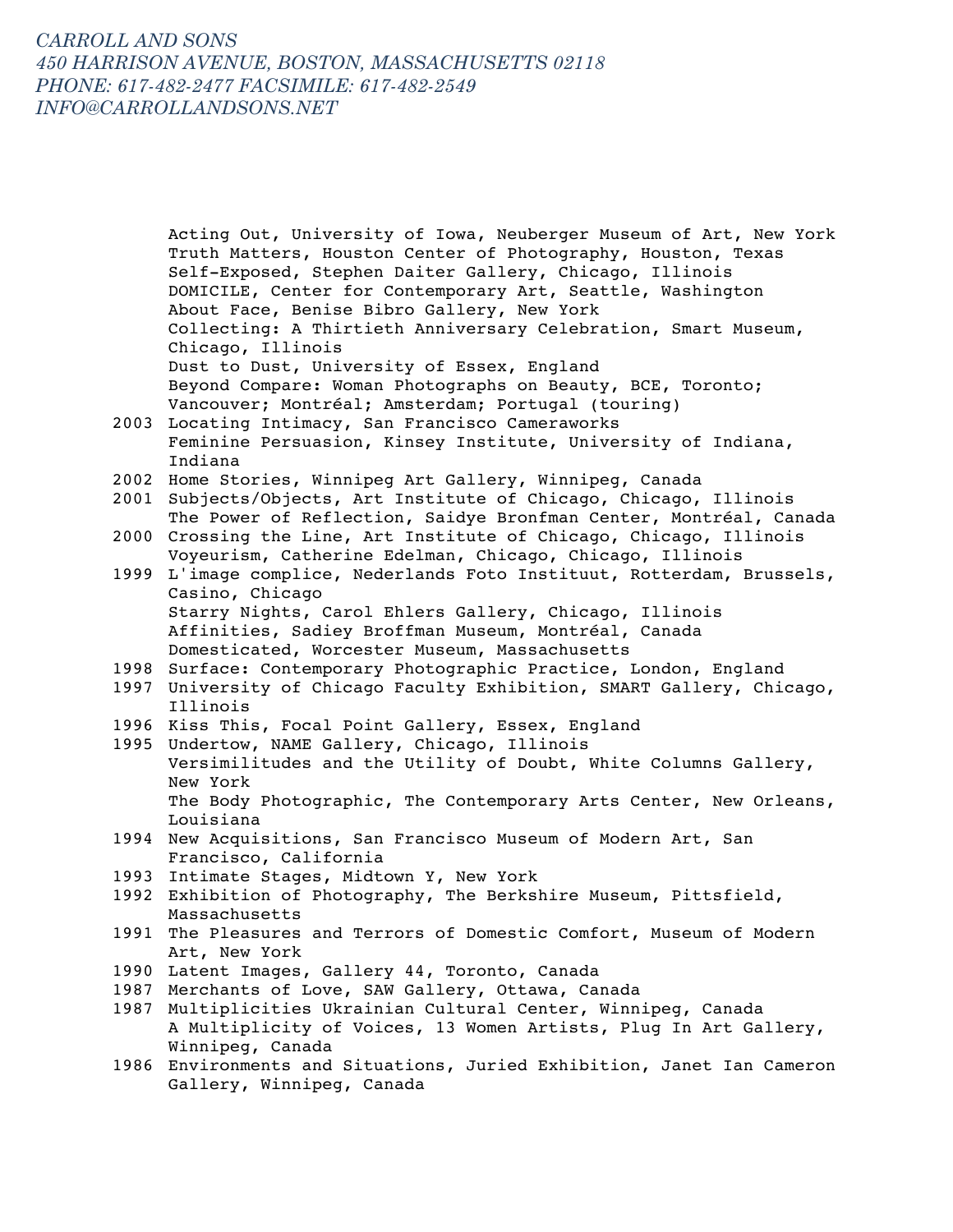Acting Out, University of Iowa, Neuberger Museum of Art, New York Truth Matters, Houston Center of Photography, Houston, Texas Self-Exposed, Stephen Daiter Gallery, Chicago, Illinois DOMICILE, Center for Contemporary Art, Seattle, Washington About Face, Benise Bibro Gallery, New York Collecting: A Thirtieth Anniversary Celebration, Smart Museum, Chicago, Illinois Dust to Dust, University of Essex, England Beyond Compare: Woman Photographs on Beauty, BCE, Toronto; Vancouver; Montréal; Amsterdam; Portugal (touring) 2003 Locating Intimacy, San Francisco Cameraworks Feminine Persuasion, Kinsey Institute, University of Indiana, Indiana 2002 Home Stories, Winnipeg Art Gallery, Winnipeg, Canada 2001 Subjects/Objects, Art Institute of Chicago, Chicago, Illinois The Power of Reflection, Saidye Bronfman Center, Montréal, Canada 2000 Crossing the Line, Art Institute of Chicago, Chicago, Illinois Voyeurism, Catherine Edelman, Chicago, Chicago, Illinois 1999 L'image complice, Nederlands Foto Instituut, Rotterdam, Brussels, Casino, Chicago Starry Nights, Carol Ehlers Gallery, Chicago, Illinois Affinities, Sadiey Broffman Museum, Montréal, Canada Domesticated, Worcester Museum, Massachusetts 1998 Surface: Contemporary Photographic Practice, London, England 1997 University of Chicago Faculty Exhibition, SMART Gallery, Chicago, Illinois 1996 Kiss This, Focal Point Gallery, Essex, England 1995 Undertow, NAME Gallery, Chicago, Illinois Versimilitudes and the Utility of Doubt, White Columns Gallery, New York The Body Photographic, The Contemporary Arts Center, New Orleans, Louisiana 1994 New Acquisitions, San Francisco Museum of Modern Art, San Francisco, California 1993 Intimate Stages, Midtown Y, New York 1992 Exhibition of Photography, The Berkshire Museum, Pittsfield, Massachusetts 1991 The Pleasures and Terrors of Domestic Comfort, Museum of Modern Art, New York 1990 Latent Images, Gallery 44, Toronto, Canada 1987 Merchants of Love, SAW Gallery, Ottawa, Canada 1987 Multiplicities Ukrainian Cultural Center, Winnipeg, Canada A Multiplicity of Voices, 13 Women Artists, Plug In Art Gallery, Winnipeg, Canada

1986 Environments and Situations, Juried Exhibition, Janet Ian Cameron Gallery, Winnipeg, Canada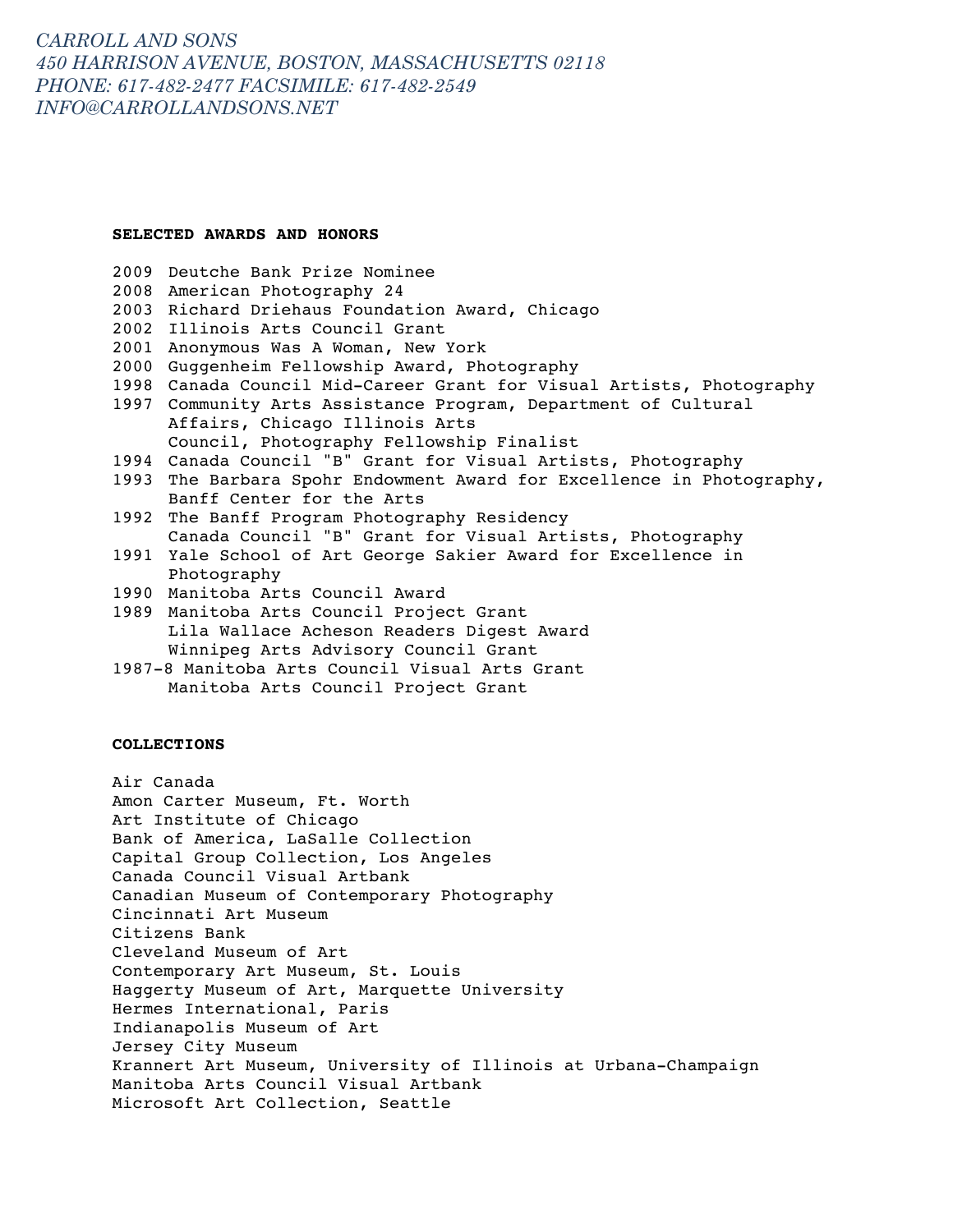#### **SELECTED AWARDS AND HONORS**

- 2009 Deutche Bank Prize Nominee
- 2008 American Photography 24
- 2003 Richard Driehaus Foundation Award, Chicago
- 2002 Illinois Arts Council Grant
- 2001 Anonymous Was A Woman, New York
- 2000 Guggenheim Fellowship Award, Photography
- 1998 Canada Council Mid-Career Grant for Visual Artists, Photography
- 1997 Community Arts Assistance Program, Department of Cultural Affairs, Chicago Illinois Arts Council, Photography Fellowship Finalist
- 1994 Canada Council "B" Grant for Visual Artists, Photography
- 1993 The Barbara Spohr Endowment Award for Excellence in Photography, Banff Center for the Arts
- 1992 The Banff Program Photography Residency Canada Council "B" Grant for Visual Artists, Photography
- 1991 Yale School of Art George Sakier Award for Excellence in Photography
- 1990 Manitoba Arts Council Award
- 1989 Manitoba Arts Council Project Grant Lila Wallace Acheson Readers Digest Award Winnipeg Arts Advisory Council Grant
- 1987-8 Manitoba Arts Council Visual Arts Grant Manitoba Arts Council Project Grant

### **COLLECTIONS**

Air Canada Amon Carter Museum, Ft. Worth Art Institute of Chicago Bank of America, LaSalle Collection Capital Group Collection, Los Angeles Canada Council Visual Artbank Canadian Museum of Contemporary Photography Cincinnati Art Museum Citizens Bank Cleveland Museum of Art Contemporary Art Museum, St. Louis Haggerty Museum of Art, Marquette University Hermes International, Paris Indianapolis Museum of Art Jersey City Museum Krannert Art Museum, University of Illinois at Urbana-Champaign Manitoba Arts Council Visual Artbank Microsoft Art Collection, Seattle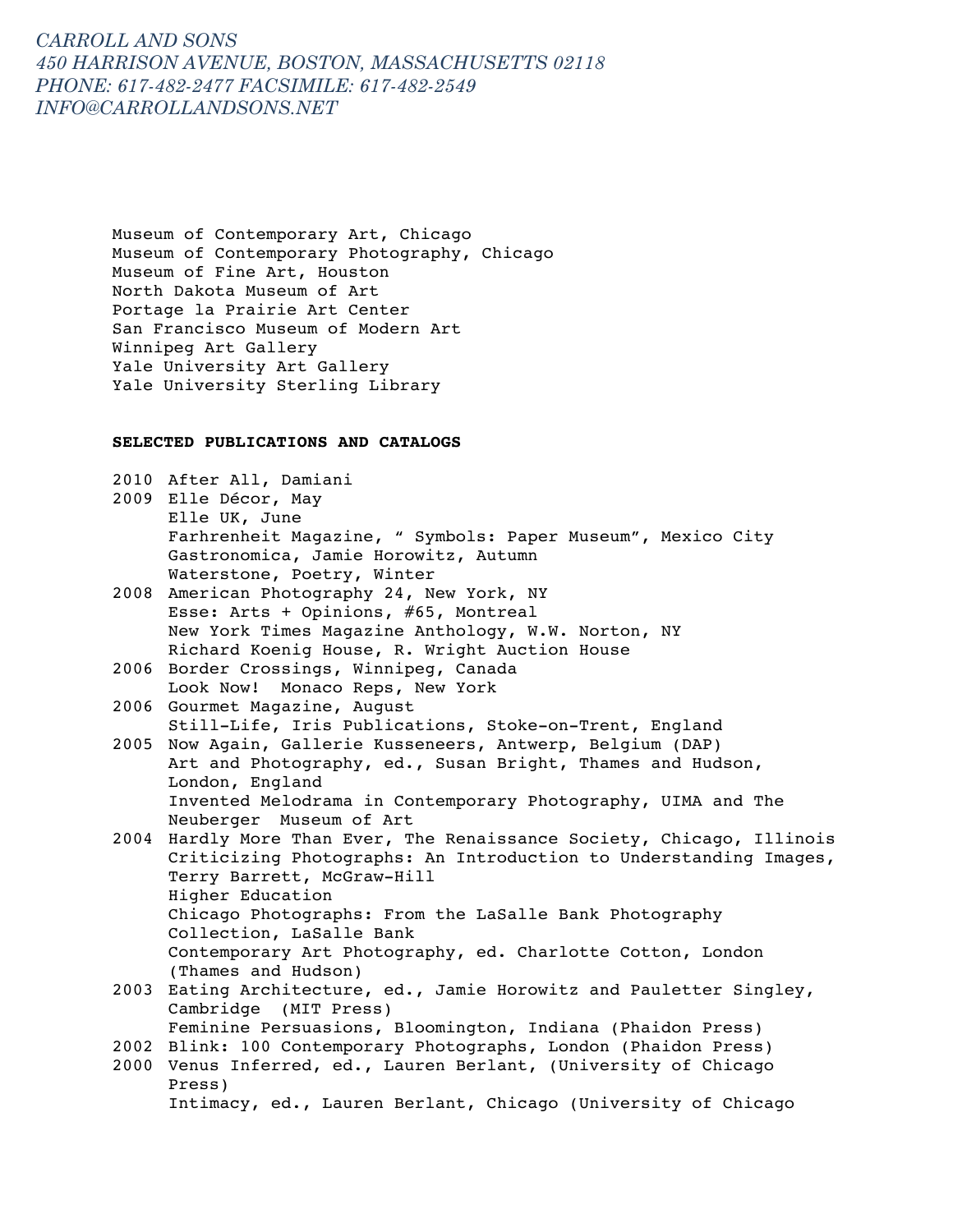Museum of Contemporary Art, Chicago Museum of Contemporary Photography, Chicago Museum of Fine Art, Houston North Dakota Museum of Art Portage la Prairie Art Center San Francisco Museum of Modern Art Winnipeg Art Gallery Yale University Art Gallery Yale University Sterling Library

#### **SELECTED PUBLICATIONS AND CATALOGS**

2010 After All, Damiani 2009 Elle Décor, May Elle UK, June Farhrenheit Magazine, " Symbols: Paper Museum", Mexico City Gastronomica, Jamie Horowitz, Autumn Waterstone, Poetry, Winter 2008 American Photography 24, New York, NY Esse: Arts + Opinions, #65, Montreal New York Times Magazine Anthology, W.W. Norton, NY Richard Koenig House, R. Wright Auction House 2006 Border Crossings, Winnipeg, Canada Look Now! Monaco Reps, New York 2006 Gourmet Magazine, August Still-Life, Iris Publications, Stoke-on-Trent, England

2005 Now Again, Gallerie Kusseneers, Antwerp, Belgium (DAP) Art and Photography, ed., Susan Bright, Thames and Hudson, London, England Invented Melodrama in Contemporary Photography, UIMA and The Neuberger Museum of Art

2004 Hardly More Than Ever, The Renaissance Society, Chicago, Illinois Criticizing Photographs: An Introduction to Understanding Images, Terry Barrett, McGraw-Hill Higher Education Chicago Photographs: From the LaSalle Bank Photography Collection, LaSalle Bank Contemporary Art Photography, ed. Charlotte Cotton, London (Thames and Hudson)

- 2003 Eating Architecture, ed., Jamie Horowitz and Pauletter Singley, Cambridge (MIT Press) Feminine Persuasions, Bloomington, Indiana (Phaidon Press) 2002 Blink: 100 Contemporary Photographs, London (Phaidon Press)
- 2000 Venus Inferred, ed., Lauren Berlant, (University of Chicago Press) Intimacy, ed., Lauren Berlant, Chicago (University of Chicago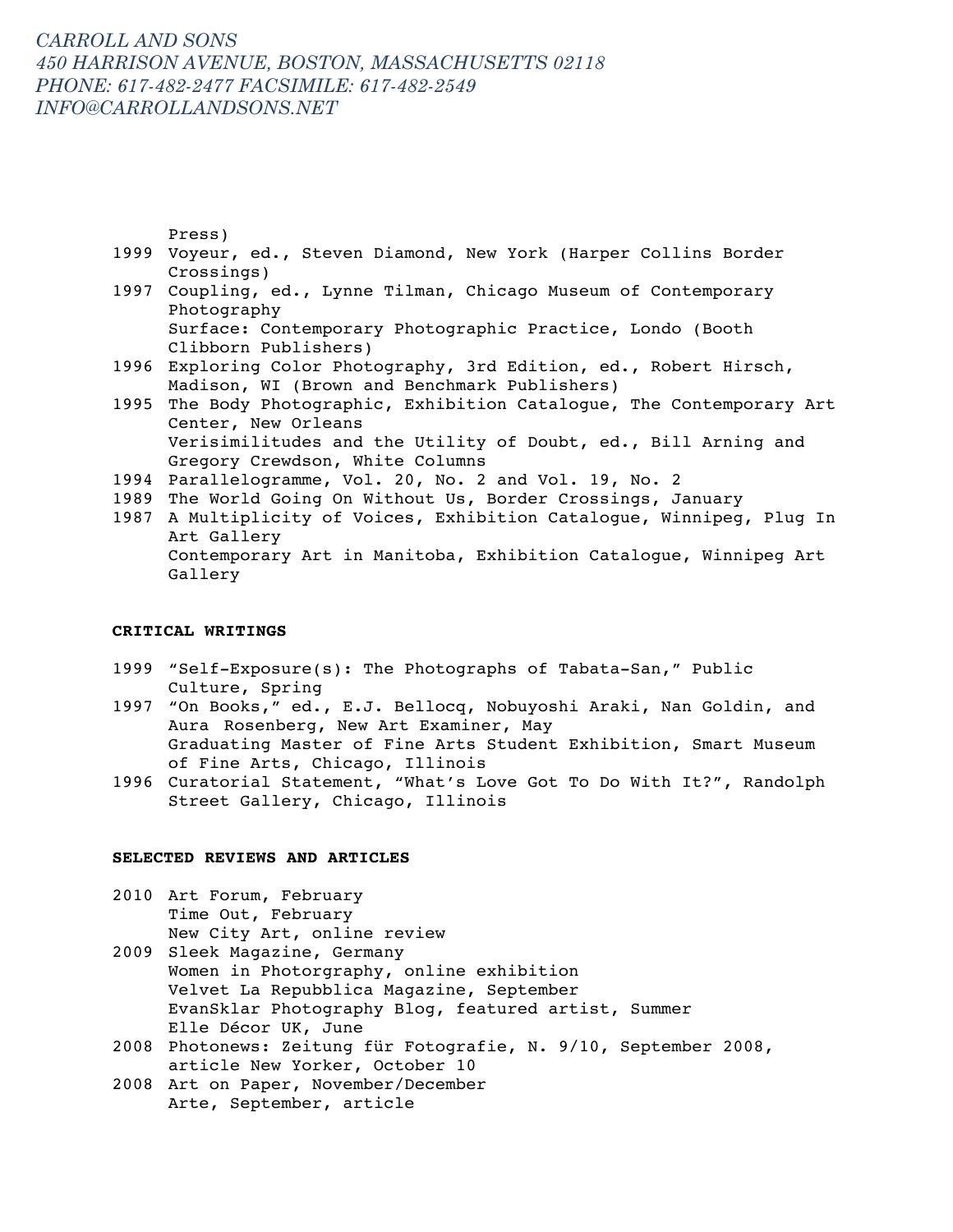Press)

- 1999 Voyeur, ed., Steven Diamond, New York (Harper Collins Border Crossings)
- 1997 Coupling, ed., Lynne Tilman, Chicago Museum of Contemporary Photography Surface: Contemporary Photographic Practice, Londo (Booth
- Clibborn Publishers) 1996 Exploring Color Photography, 3rd Edition, ed., Robert Hirsch, Madison, WI (Brown and Benchmark Publishers)
- 1995 The Body Photographic, Exhibition Catalogue, The Contemporary Art Center, New Orleans Verisimilitudes and the Utility of Doubt, ed., Bill Arning and Gregory Crewdson, White Columns
- 1994 Parallelogramme, Vol. 20, No. 2 and Vol. 19, No. 2
- 1989 The World Going On Without Us, Border Crossings, January
- 1987 A Multiplicity of Voices, Exhibition Catalogue, Winnipeg, Plug In Art Gallery Contemporary Art in Manitoba, Exhibition Catalogue, Winnipeg Art Gallery

### **CRITICAL WRITINGS**

- 1999 "Self-Exposure(s): The Photographs of Tabata-San," Public Culture, Spring
- 1997 "On Books," ed., E.J. Bellocq, Nobuyoshi Araki, Nan Goldin, and Aura Rosenberg, New Art Examiner, May Graduating Master of Fine Arts Student Exhibition, Smart Museum of Fine Arts, Chicago, Illinois
- 1996 Curatorial Statement, "What's Love Got To Do With It?", Randolph Street Gallery, Chicago, Illinois

#### **SELECTED REVIEWS AND ARTICLES**

- 2010 Art Forum, February Time Out, February New City Art, online review
- 2009 Sleek Magazine, Germany Women in Photorgraphy, online exhibition Velvet La Repubblica Magazine, September EvanSklar Photography Blog, featured artist, Summer Elle Décor UK, June
- 2008 Photonews: Zeitung für Fotografie, N. 9/10, September 2008, article New Yorker, October 10
- 2008 Art on Paper, November/December Arte, September, article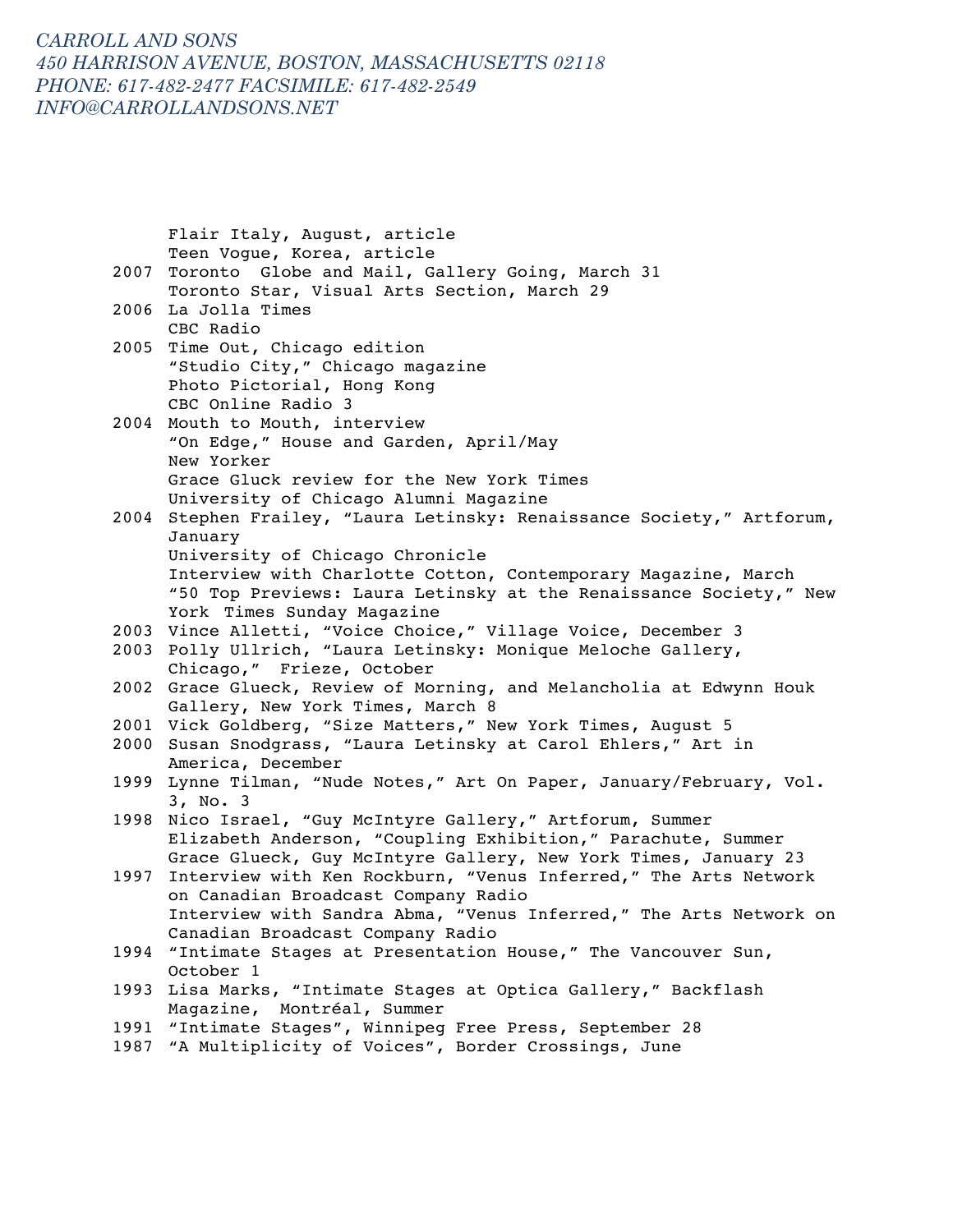Flair Italy, August, article Teen Vogue, Korea, article 2007 Toronto Globe and Mail, Gallery Going, March 31 Toronto Star, Visual Arts Section, March 29 2006 La Jolla Times CBC Radio 2005 Time Out, Chicago edition "Studio City," Chicago magazine Photo Pictorial, Hong Kong CBC Online Radio 3 2004 Mouth to Mouth, interview "On Edge," House and Garden, April/May New Yorker Grace Gluck review for the New York Times University of Chicago Alumni Magazine 2004 Stephen Frailey, "Laura Letinsky: Renaissance Society," Artforum, January University of Chicago Chronicle Interview with Charlotte Cotton, Contemporary Magazine, March "50 Top Previews: Laura Letinsky at the Renaissance Society," New York Times Sunday Magazine 2003 Vince Alletti, "Voice Choice," Village Voice, December 3 2003 Polly Ullrich, "Laura Letinsky: Monique Meloche Gallery, Chicago," Frieze, October 2002 Grace Glueck, Review of Morning, and Melancholia at Edwynn Houk Gallery, New York Times, March 8 2001 Vick Goldberg, "Size Matters," New York Times, August 5 2000 Susan Snodgrass, "Laura Letinsky at Carol Ehlers," Art in America, December 1999 Lynne Tilman, "Nude Notes," Art On Paper, January/February, Vol. 3, No. 3 1998 Nico Israel, "Guy McIntyre Gallery," Artforum, Summer Elizabeth Anderson, "Coupling Exhibition," Parachute, Summer Grace Glueck, Guy McIntyre Gallery, New York Times, January 23 1997 Interview with Ken Rockburn, "Venus Inferred," The Arts Network on Canadian Broadcast Company Radio Interview with Sandra Abma, "Venus Inferred," The Arts Network on Canadian Broadcast Company Radio 1994 "Intimate Stages at Presentation House," The Vancouver Sun, October 1 1993 Lisa Marks, "Intimate Stages at Optica Gallery," Backflash Magazine, Montréal, Summer 1991 "Intimate Stages", Winnipeg Free Press, September 28 1987 "A Multiplicity of Voices", Border Crossings, June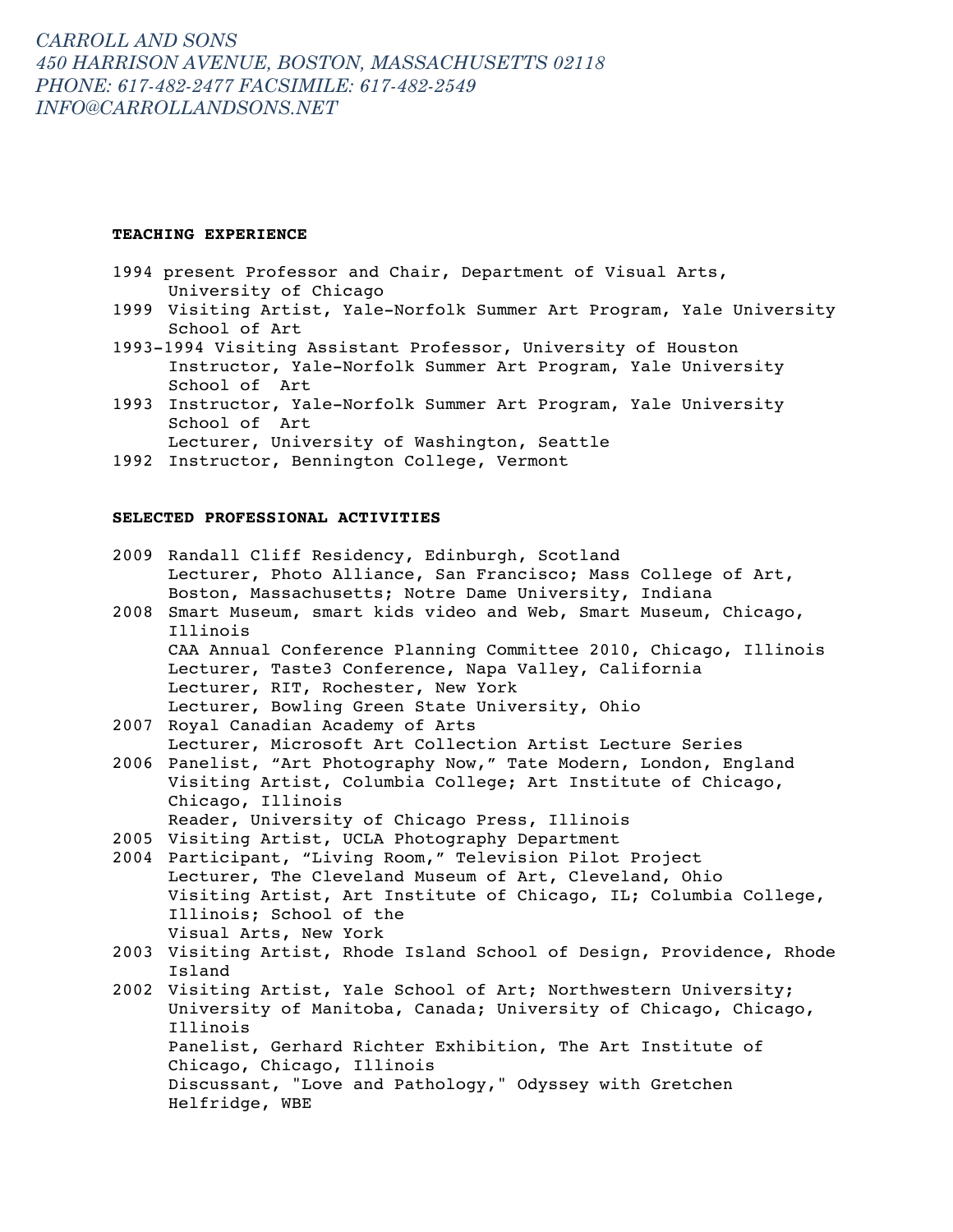### **TEACHING EXPERIENCE**

- 1994 present Professor and Chair, Department of Visual Arts, University of Chicago
- 1999 Visiting Artist, Yale-Norfolk Summer Art Program, Yale University School of Art
- 1993-1994 Visiting Assistant Professor, University of Houston Instructor, Yale-Norfolk Summer Art Program, Yale University School of Art
- 1993 Instructor, Yale-Norfolk Summer Art Program, Yale University School of Art Lecturer, University of Washington, Seattle
- 1992 Instructor, Bennington College, Vermont

### **SELECTED PROFESSIONAL ACTIVITIES**

|      | 2009 Randall Cliff Residency, Edinburgh, Scotland                      |
|------|------------------------------------------------------------------------|
|      | Lecturer, Photo Alliance, San Francisco; Mass College of Art,          |
|      | Boston, Massachusetts; Notre Dame University, Indiana                  |
| 2008 | Smart Museum, smart kids video and Web, Smart Museum, Chicago,         |
|      | Illinois                                                               |
|      | CAA Annual Conference Planning Committee 2010, Chicago, Illinois       |
|      | Lecturer, Taste3 Conference, Napa Valley, California                   |
|      | Lecturer, RIT, Rochester, New York                                     |
|      | Lecturer, Bowling Green State University, Ohio                         |
| 2007 | Royal Canadian Academy of Arts                                         |
|      | Lecturer, Microsoft Art Collection Artist Lecture Series               |
|      | 2006 Panelist, "Art Photography Now," Tate Modern, London, England     |
|      | Visiting Artist, Columbia College; Art Institute of Chicago,           |
|      | Chicago, Illinois                                                      |
|      | Reader, University of Chicago Press, Illinois                          |
|      | 2005 Visiting Artist, UCLA Photography Department                      |
|      | 2004 Participant, "Living Room," Television Pilot Project              |
|      | Lecturer, The Cleveland Museum of Art, Cleveland, Ohio                 |
|      | Visiting Artist, Art Institute of Chicago, IL; Columbia College,       |
|      | Illinois; School of the                                                |
|      | Visual Arts, New York                                                  |
|      | 2003 Visiting Artist, Rhode Island School of Design, Providence, Rhode |
|      | Island                                                                 |
| 2002 | Visiting Artist, Yale School of Art; Northwestern University;          |
|      | University of Manitoba, Canada; University of Chicago, Chicago,        |
|      | Illinois                                                               |
|      | Panelist, Gerhard Richter Exhibition, The Art Institute of             |
|      | Chicago, Chicago, Illinois                                             |
|      | Discussant, "Love and Pathology," Odyssey with Gretchen                |
|      | Helfridge, WBE                                                         |
|      |                                                                        |
|      |                                                                        |